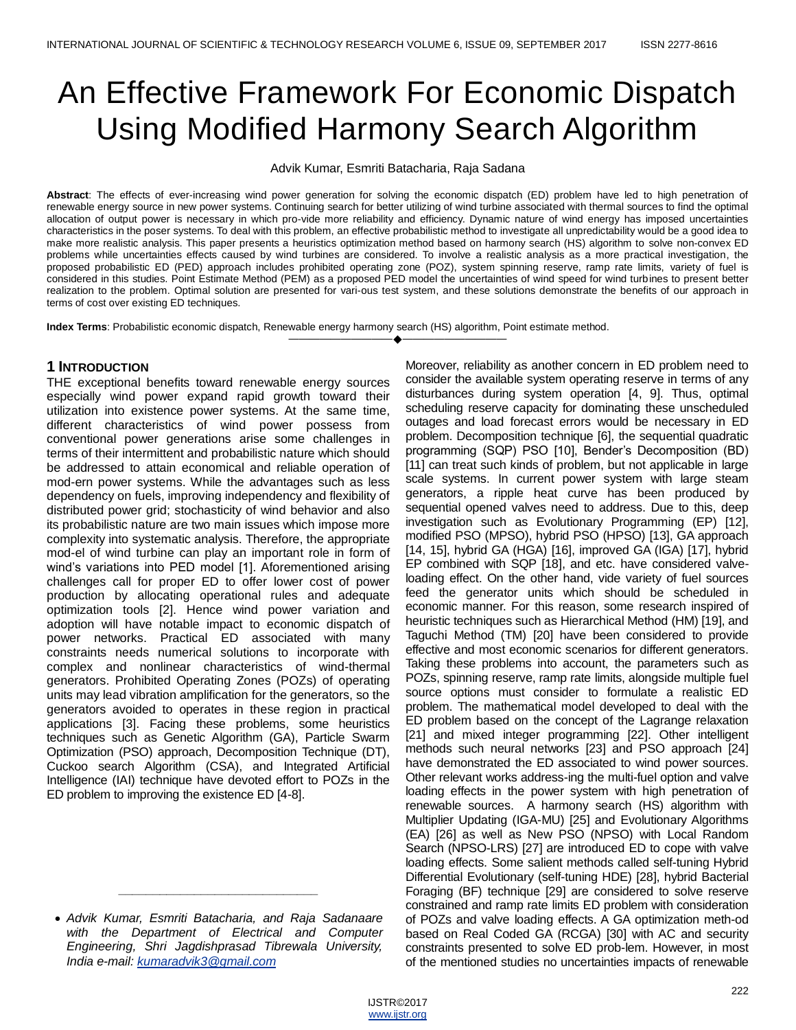# An Effective Framework For Economic Dispatch Using Modified Harmony Search Algorithm

Advik Kumar, Esmriti Batacharia, Raja Sadana

**Abstract**: The effects of ever-increasing wind power generation for solving the economic dispatch (ED) problem have led to high penetration of renewable energy source in new power systems. Continuing search for better utilizing of wind turbine associated with thermal sources to find the optimal allocation of output power is necessary in which pro-vide more reliability and efficiency. Dynamic nature of wind energy has imposed uncertainties characteristics in the poser systems. To deal with this problem, an effective probabilistic method to investigate all unpredictability would be a good idea to make more realistic analysis. This paper presents a heuristics optimization method based on harmony search (HS) algorithm to solve non-convex ED problems while uncertainties effects caused by wind turbines are considered. To involve a realistic analysis as a more practical investigation, the proposed probabilistic ED (PED) approach includes prohibited operating zone (POZ), system spinning reserve, ramp rate limits, variety of fuel is considered in this studies. Point Estimate Method (PEM) as a proposed PED model the uncertainties of wind speed for wind turbines to present better realization to the problem. Optimal solution are presented for vari-ous test system, and these solutions demonstrate the benefits of our approach in terms of cost over existing ED techniques.

————————————————————

**Index Terms**: Probabilistic economic dispatch, Renewable energy harmony search (HS) algorithm, Point estimate method.

## **1 INTRODUCTION**

THE exceptional benefits toward renewable energy sources especially wind power expand rapid growth toward their utilization into existence power systems. At the same time, different characteristics of wind power possess from conventional power generations arise some challenges in terms of their intermittent and probabilistic nature which should be addressed to attain economical and reliable operation of mod-ern power systems. While the advantages such as less dependency on fuels, improving independency and flexibility of distributed power grid; stochasticity of wind behavior and also its probabilistic nature are two main issues which impose more complexity into systematic analysis. Therefore, the appropriate mod-el of wind turbine can play an important role in form of wind's variations into PED model [1]. Aforementioned arising challenges call for proper ED to offer lower cost of power production by allocating operational rules and adequate optimization tools [2]. Hence wind power variation and adoption will have notable impact to economic dispatch of power networks. Practical ED associated with many constraints needs numerical solutions to incorporate with complex and nonlinear characteristics of wind-thermal generators. Prohibited Operating Zones (POZs) of operating units may lead vibration amplification for the generators, so the generators avoided to operates in these region in practical applications [3]. Facing these problems, some heuristics techniques such as Genetic Algorithm (GA), Particle Swarm Optimization (PSO) approach, Decomposition Technique (DT), Cuckoo search Algorithm (CSA), and Integrated Artificial Intelligence (IAI) technique have devoted effort to POZs in the ED problem to improving the existence ED [4-8].

*\_\_\_\_\_\_\_\_\_\_\_\_\_\_\_\_\_\_\_\_\_\_\_\_\_\_\_\_\_*

Moreover, reliability as another concern in ED problem need to consider the available system operating reserve in terms of any disturbances during system operation [4, 9]. Thus, optimal scheduling reserve capacity for dominating these unscheduled outages and load forecast errors would be necessary in ED problem. Decomposition technique [6], the sequential quadratic programming (SQP) PSO [10], Bender's Decomposition (BD) [11] can treat such kinds of problem, but not applicable in large scale systems. In current power system with large steam generators, a ripple heat curve has been produced by sequential opened valves need to address. Due to this, deep investigation such as Evolutionary Programming (EP) [12], modified PSO (MPSO), hybrid PSO (HPSO) [13], GA approach [14, 15], hybrid GA (HGA) [16], improved GA (IGA) [17], hybrid EP combined with SQP [18], and etc. have considered valveloading effect. On the other hand, vide variety of fuel sources feed the generator units which should be scheduled in economic manner. For this reason, some research inspired of heuristic techniques such as Hierarchical Method (HM) [19], and Taguchi Method (TM) [20] have been considered to provide effective and most economic scenarios for different generators. Taking these problems into account, the parameters such as POZs, spinning reserve, ramp rate limits, alongside multiple fuel source options must consider to formulate a realistic ED problem. The mathematical model developed to deal with the ED problem based on the concept of the Lagrange relaxation [21] and mixed integer programming [22]. Other intelligent methods such neural networks [23] and PSO approach [24] have demonstrated the ED associated to wind power sources. Other relevant works address-ing the multi-fuel option and valve loading effects in the power system with high penetration of renewable sources. A harmony search (HS) algorithm with Multiplier Updating (IGA-MU) [25] and Evolutionary Algorithms (EA) [26] as well as New PSO (NPSO) with Local Random Search (NPSO-LRS) [27] are introduced ED to cope with valve loading effects. Some salient methods called self-tuning Hybrid Differential Evolutionary (self-tuning HDE) [28], hybrid Bacterial Foraging (BF) technique [29] are considered to solve reserve constrained and ramp rate limits ED problem with consideration of POZs and valve loading effects. A GA optimization meth-od based on Real Coded GA (RCGA) [30] with AC and security constraints presented to solve ED prob-lem. However, in most of the mentioned studies no uncertainties impacts of renewable

*Advik Kumar, Esmriti Batacharia, and Raja Sadanaare with the Department of Electrical and Computer Engineering, Shri Jagdishprasad Tibrewala University, India e-mail[: kumaradvik3@gmail.com](mailto:kumaradvik3@gmail.com)*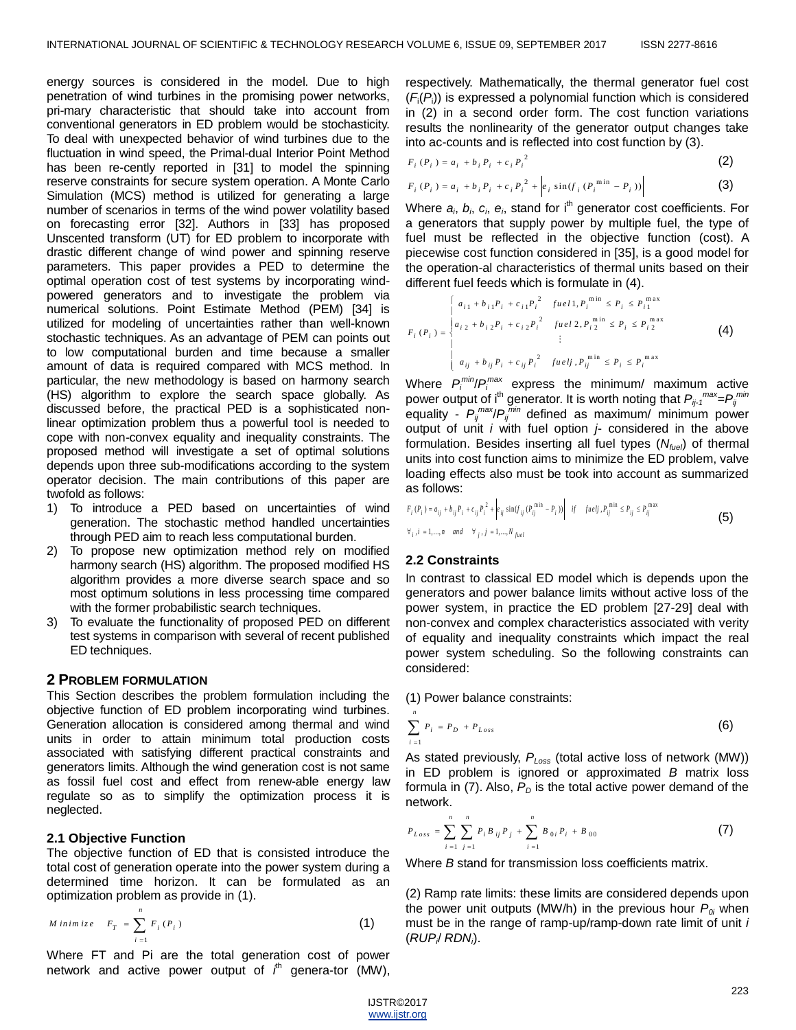energy sources is considered in the model. Due to high penetration of wind turbines in the promising power networks, pri-mary characteristic that should take into account from conventional generators in ED problem would be stochasticity. To deal with unexpected behavior of wind turbines due to the fluctuation in wind speed, the Primal-dual Interior Point Method has been re-cently reported in [31] to model the spinning reserve constraints for secure system operation. A Monte Carlo Simulation (MCS) method is utilized for generating a large number of scenarios in terms of the wind power volatility based on forecasting error [32]. Authors in [33] has proposed Unscented transform (UT) for ED problem to incorporate with drastic different change of wind power and spinning reserve parameters. This paper provides a PED to determine the optimal operation cost of test systems by incorporating windpowered generators and to investigate the problem via numerical solutions. Point Estimate Method (PEM) [34] is utilized for modeling of uncertainties rather than well-known stochastic techniques. As an advantage of PEM can points out to low computational burden and time because a smaller amount of data is required compared with MCS method. In particular, the new methodology is based on harmony search (HS) algorithm to explore the search space globally. As discussed before, the practical PED is a sophisticated nonlinear optimization problem thus a powerful tool is needed to cope with non-convex equality and inequality constraints. The proposed method will investigate a set of optimal solutions depends upon three sub-modifications according to the system operator decision. The main contributions of this paper are twofold as follows:

- 1) To introduce a PED based on uncertainties of wind generation. The stochastic method handled uncertainties through PED aim to reach less computational burden.
- 2) To propose new optimization method rely on modified harmony search (HS) algorithm. The proposed modified HS algorithm provides a more diverse search space and so most optimum solutions in less processing time compared with the former probabilistic search techniques.
- 3) To evaluate the functionality of proposed PED on different test systems in comparison with several of recent published ED techniques.

## **2 PROBLEM FORMULATION**

This Section describes the problem formulation including the objective function of ED problem incorporating wind turbines. Generation allocation is considered among thermal and wind units in order to attain minimum total production costs associated with satisfying different practical constraints and generators limits. Although the wind generation cost is not same as fossil fuel cost and effect from renew-able energy law regulate so as to simplify the optimization process it is neglected.

## **2.1 Objective Function**

The objective function of ED that is consisted introduce the total cost of generation operate into the power system during a determined time horizon. It can be formulated as an optimization problem as provide in (1).

$$
M\text{ }inim\text{ }iz\text{ }e\quad F_T = \sum_{i=1}^n F_i(P_i) \tag{1}
$$

Where FT and Pi are the total generation cost of power network and active power output of *i* th genera-tor (MW), respectively. Mathematically, the thermal generator fuel cost (*F*i (*P*<sup>i</sup> )) is expressed a polynomial function which is considered in (2) in a second order form. The cost function variations results the nonlinearity of the generator output changes take into ac-counts and is reflected into cost function by (3).

$$
F_i(P_i) = a_i + b_i P_i + c_i P_i^2
$$
 (2)

$$
F_i(P_i) = a_i + b_i P_i + c_i P_i^2 + \left| e_i \sin(f_i (P_i^{\min} - P_i)) \right|
$$
 (3)

Where  $a_i$ ,  $b_i$ ,  $c_i$ ,  $e_i$ , stand for i<sup>th</sup> generator cost coefficients. For a generators that supply power by multiple fuel, the type of fuel must be reflected in the objective function (cost). A piecewise cost function considered in [35], is a good model for the operation-al characteristics of thermal units based on their different fuel feeds which is formulate in (4).

$$
F_i(P_i) = \begin{cases} a_{i1} + b_{i1}P_i + c_{i1}P_i^2 & \text{full } P_i^{\text{min}} \le P_i \le P_{i1}^{\text{max}} \\ a_{i2} + b_{i2}P_i + c_{i2}P_i^2 & \text{full } 2, P_{i2}^{\text{min}} \le P_i \le P_{i2}^{\text{max}} \\ & \vdots \\ a_{ij} + b_{ij}P_i + c_{ij}P_i^2 & \text{full } P_i^{\text{min}} \le P_i \le P_i^{\text{max}} \end{cases} (4)
$$

Where  $P_i^{min}/P_i^{max}$  express the minimum/ maximum active power output of i<sup>th</sup> generator. It is worth noting that  $P_{ij\text{-}1}$ <sup>max</sup>=P<sub>ij</sub><sup>min</sup> equality - *Pij max*/*Pij min* defined as maximum/ minimum power output of unit *i* with fuel option *j*- considered in the above formulation. Besides inserting all fuel types (*Nfuel*) of thermal units into cost function aims to minimize the ED problem, valve loading effects also must be took into account as summarized as follows:

$$
F_i(P_i) = a_{ij} + b_{ij}P_i + c_{ij}P_i^2 + \left| e_{ij}\sin(f_{ij}(P_{ij}^{\min} - P_i)) \right| \quad \text{if} \quad \text{fuelj, } P_{ij}^{\min} \le P_{ij} \le P_{ij}^{\max}
$$
\n
$$
\forall_{i}, i = 1, \dots, n \quad \text{and} \quad \forall_{j}, j = 1, \dots, N_{\text{fuel}}
$$
\n(5)

### **2.2 Constraints**

In contrast to classical ED model which is depends upon the generators and power balance limits without active loss of the power system, in practice the ED problem [27-29] deal with non-convex and complex characteristics associated with verity of equality and inequality constraints which impact the real power system scheduling. So the following constraints can considered:

(1) Power balance constraints:

$$
\sum_{i=1}^{n} P_{i} = P_{D} + P_{Loss}
$$
 (6)

As stated previously, *PLoss* (total active loss of network (MW)) in ED problem is ignored or approximated *B* matrix loss formula in  $(7)$ . Also,  $P<sub>D</sub>$  is the total active power demand of the network.

$$
P_{Loss} = \sum_{i=1}^{n} \sum_{j=1}^{n} P_i B_{ij} P_j + \sum_{i=1}^{n} B_{0i} P_i + B_{00}
$$
 (7)

Where *B* stand for transmission loss coefficients matrix.

(2) Ramp rate limits: these limits are considered depends upon the power unit outputs (MW/h) in the previous hour  $P_{0i}$  when must be in the range of ramp-up/ramp-down rate limit of unit *i* (*RUP<sup>i</sup>* / *RDN<sup>i</sup>* ).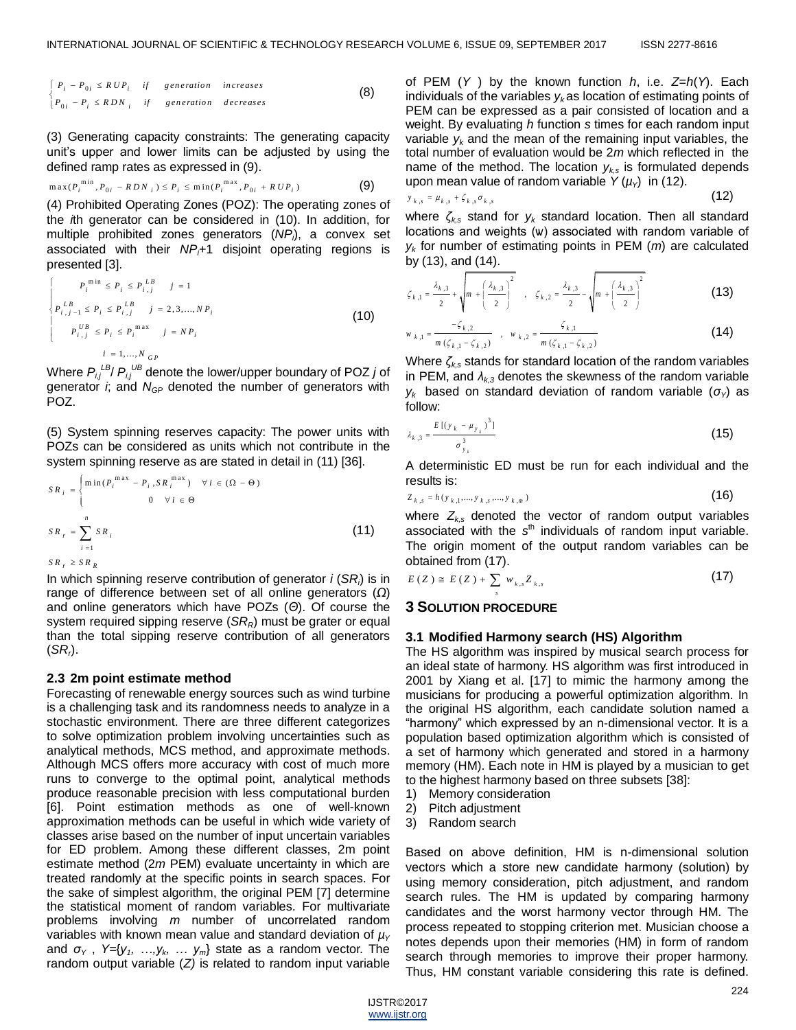$$
\begin{cases}\nP_i - P_{0i} \le R \, UP_i & \text{if} \quad generation \quad increases \\
P_{0i} - P_i \le R \, DN_i & \text{if} \quad generation \quad decreases\n\end{cases}
$$
\n(8)

(3) Generating capacity constraints: The generating capacity unit's upper and lower limits can be adjusted by using the defined ramp rates as expressed in (9).

$$
\max(P_i^{\min}, P_{0i} - RDN_i) \le P_i \le \min(P_i^{\max}, P_{0i} + RUP_i)
$$
 (9)

(4) Prohibited Operating Zones (POZ): The operating zones of the *i*th generator can be considered in (10). In addition, for multiple prohibited zones generators (*NP<sup>i</sup>* ), a convex set associated with their *NPi*+1 disjoint operating regions is presented [3].

$$
\begin{cases}\nP_i^{\min} \le P_i \le P_{i,j}^{LB} & j = 1 \\
P_{i,j-1}^{LB} \le P_i \le P_{i,j}^{LB} & j = 2,3,...,NP_i \\
P_{i,j}^{UB} \le P_i \le P_i^{\max} & j = NP_i \\
i = 1,...,N_{GP}\n\end{cases} (10)
$$

Where  $P_{i,j}^{\perp B}$ / $P_{i,j}^{\perp B}$  denote the lower/upper boundary of POZ *j* of generator *i*; and *NGP* denoted the number of generators with POZ.

(5) System spinning reserves capacity: The power units with POZs can be considered as units which not contribute in the system spinning reserve as are stated in detail in (11) [36].

$$
SR_{i} = \begin{cases} \min(P_{i}^{max} - P_{i}, SR_{i}^{max}) & \forall i \in (\Omega - \Theta) \\ 0 & \forall i \in \Theta \end{cases}
$$
  

$$
SR_{r} = \sum_{i=1}^{n} SR_{i}
$$
  

$$
SR_{r} \geq SR_{R}
$$
  

$$
(11)
$$

In which spinning reserve contribution of generator *i* (*SR<sup>i</sup>* ) is in range of difference between set of all online generators (*Ω*) and online generators which have POZs (*Θ*). Of course the system required sipping reserve (*SRR*) must be grater or equal than the total sipping reserve contribution of all generators (*SR<sup>r</sup>* ).

#### **2.3 2m point estimate method**

Forecasting of renewable energy sources such as wind turbine is a challenging task and its randomness needs to analyze in a stochastic environment. There are three different categorizes to solve optimization problem involving uncertainties such as analytical methods, MCS method, and approximate methods. Although MCS offers more accuracy with cost of much more runs to converge to the optimal point, analytical methods produce reasonable precision with less computational burden [6]. Point estimation methods as one of well-known approximation methods can be useful in which wide variety of classes arise based on the number of input uncertain variables for ED problem. Among these different classes, 2m point estimate method (2*m* PEM) evaluate uncertainty in which are treated randomly at the specific points in search spaces. For the sake of simplest algorithm, the original PEM [7] determine the statistical moment of random variables. For multivariate problems involving *m* number of uncorrelated random variables with known mean value and standard deviation of  $\mu$ <sup>*y*</sup> and *σ<sup>Y</sup>* , *Y=*{*y1, …,y<sup>k</sup> , … ym*} state as a random vector. The random output variable (*Z)* is related to random input variable

of PEM (*Y* ) by the known function *h*, i.e. *Z*=*h*(*Y*). Each individuals of the variables  $y_k$  as location of estimating points of PEM can be expressed as a pair consisted of location and a weight. By evaluating *h* function *s* times for each random input variable  $y_k$  and the mean of the remaining input variables, the total number of evaluation would be 2*m* which reflected in the name of the method. The location  $y_{ks}$  is formulated depends upon mean value of random variable  $Y(\mu_Y)$  in (12).

$$
y_{k,s} = \mu_{k,s} + \zeta_{k,s} \sigma_{k,s}
$$
\n
$$
(12)
$$

where *ζk,s* stand for *y<sup>k</sup>* standard location. Then all standard locations and weights (ѡ) associated with random variable of *yk* for number of estimating points in PEM (*m*) are calculated by (13), and (14).

$$
\zeta_{k,1} = \frac{\lambda_{k,3}}{2} + \sqrt{m + \left(\frac{\lambda_{k,3}}{2}\right)^2}, \quad \zeta_{k,2} = \frac{\lambda_{k,3}}{2} - \sqrt{m + \left(\frac{\lambda_{k,3}}{2}\right)^2}
$$
(13)

$$
w_{k,1} = \frac{-\zeta_{k,2}}{m(\zeta_{k,1} - \zeta_{k,2})} , w_{k,2} = \frac{\zeta_{k,1}}{m(\zeta_{k,1} - \zeta_{k,2})}
$$
(14)

Where *ζk,s* stands for standard location of the random variables in PEM, and  $\lambda_{k,3}$  denotes the skewness of the random variable *y*<sup>*k*</sup> based on standard deviation of random variable ( $σ<sub>γ</sub>$ ) as follow:

$$
\lambda_{k,3} = \frac{E[(y_k - \mu_{y_k})^3]}{\sigma_{y_k}^3}
$$
 (15)

A deterministic ED must be run for each individual and the results is:

$$
Z_{k,s} = h(y_{k,1},...,y_{k,s},...,y_{k,m})
$$
\n(16)

where  $Z_{ks}$  denoted the vector of random output variables associated with the s<sup>th</sup> individuals of random input variable. The origin moment of the output random variables can be obtained from (17).

$$
E(Z) \cong E(Z) + \sum_{s} w_{k,s} Z_{k,s} \tag{17}
$$

#### **3 SOLUTION PROCEDURE**

#### **3.1 Modified Harmony search (HS) Algorithm**

The HS algorithm was inspired by musical search process for an ideal state of harmony. HS algorithm was first introduced in 2001 by Xiang et al. [17] to mimic the harmony among the musicians for producing a powerful optimization algorithm. In the original HS algorithm, each candidate solution named a ―harmony‖ which expressed by an n-dimensional vector. It is a population based optimization algorithm which is consisted of a set of harmony which generated and stored in a harmony memory (HM). Each note in HM is played by a musician to get to the highest harmony based on three subsets [38]:

- 1) Memory consideration
- 2) Pitch adjustment
- 3) Random search

Based on above definition, HM is n-dimensional solution vectors which a store new candidate harmony (solution) by using memory consideration, pitch adjustment, and random search rules. The HM is updated by comparing harmony candidates and the worst harmony vector through HM. The process repeated to stopping criterion met. Musician choose a notes depends upon their memories (HM) in form of random search through memories to improve their proper harmony. Thus, HM constant variable considering this rate is defined.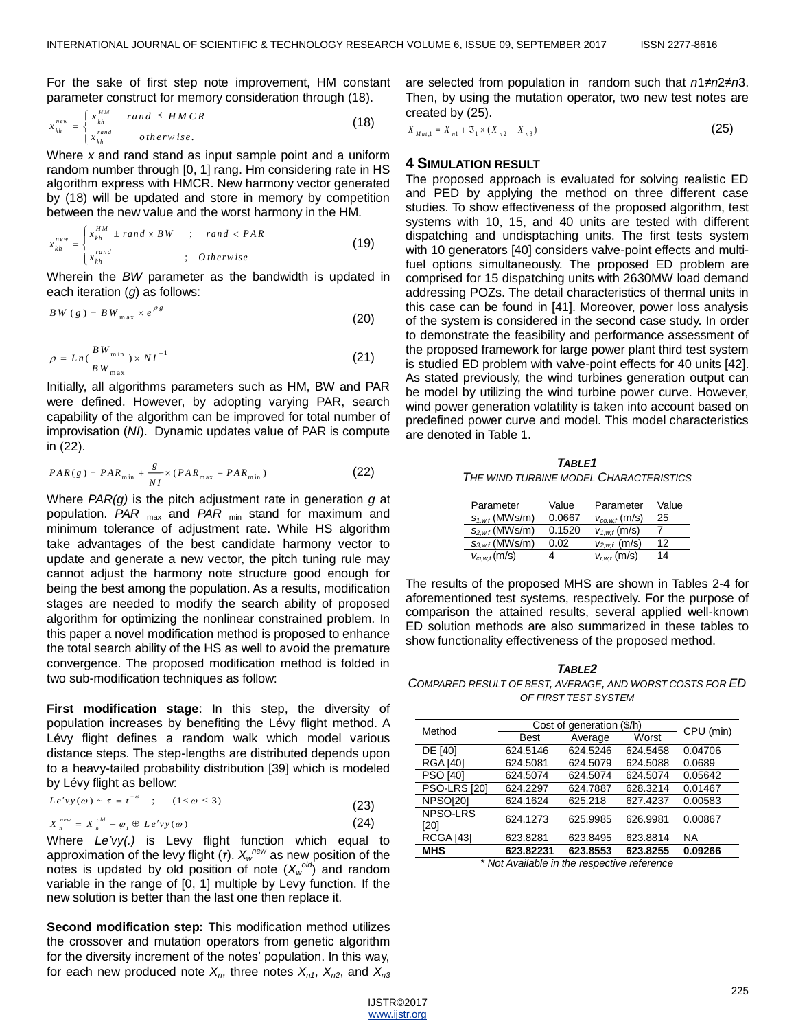For the sake of first step note improvement, HM constant parameter construct for memory consideration through (18).

$$
x_{\lambda h}^{new} = \begin{cases} x_{\lambda h}^{HM} & \text{rand} \leq HMCR \\ x_{\lambda h}^{rand} & \text{otherwise.} \end{cases}
$$
 (18)

Where *x* and rand stand as input sample point and a uniform random number through [0, 1] rang. Hm considering rate in HS algorithm express with HMCR. New harmony vector generated by (18) will be updated and store in memory by competition between the new value and the worst harmony in the HM.

$$
x_{kh}^{new} = \begin{cases} x_{kh}^{HM} \pm rand \times BW & ; \quad rand < PAR \\ x_{kh}^{rand} & ; \quad Otherwise \end{cases} \tag{19}
$$

Wherein the *BW* parameter as the bandwidth is updated in each iteration (*g*) as follows:

$$
BW\ (g) = BW_{\max} \times e^{\rho g} \tag{20}
$$

$$
\rho = Ln(\frac{BW_{\min}}{BW_{\max}}) \times NI^{-1}
$$
\n(21)

Initially, all algorithms parameters such as HM, BW and PAR were defined. However, by adopting varying PAR, search capability of the algorithm can be improved for total number of improvisation (*NI*). Dynamic updates value of PAR is compute in (22).

$$
PAR(g) = PAR_{\min} + \frac{g}{NI} \times (PAR_{\max} - PAR_{\min})
$$
 (22)

Where *PAR(g)* is the pitch adjustment rate in generation *g* at population. *PAR* max and *PAR* min stand for maximum and minimum tolerance of adjustment rate. While HS algorithm take advantages of the best candidate harmony vector to update and generate a new vector, the pitch tuning rule may cannot adjust the harmony note structure good enough for being the best among the population. As a results, modification stages are needed to modify the search ability of proposed algorithm for optimizing the nonlinear constrained problem. In this paper a novel modification method is proposed to enhance the total search ability of the HS as well to avoid the premature convergence. The proposed modification method is folded in two sub-modification techniques as follow:

**First modification stage**: In this step, the diversity of population increases by benefiting the Lévy flight method. A Lévy flight defines a random walk which model various distance steps. The step-lengths are distributed depends upon to a heavy-tailed probability distribution [39] which is modeled by Lévy flight as bellow:

$$
Le^{i'}vy(\omega) \sim \tau = t^{-\omega} \quad ; \quad (1 < \omega \le 3)
$$
 (23)

$$
X_n^{new} = X_n^{old} + \varphi_1 \oplus Le'vy(\omega)
$$
 (24)

Where *Le'vy(.)* is Levy flight function which equal to approximation of the levy flight (*τ*).  $X_{w}^{new}$  as new position of the notes is updated by old position of note  $(X_w^{\text{old}})$  and random variable in the range of [0, 1] multiple by Levy function. If the new solution is better than the last one then replace it.

**Second modification step:** This modification method utilizes the crossover and mutation operators from genetic algorithm for the diversity increment of the notes' population. In this way, for each new produced note  $X_n$ , three notes  $X_{n1}$ ,  $X_{n2}$ , and  $X_{n3}$  are selected from population in random such that *n*1≠*n*2≠*n*3. Then, by using the mutation operator, two new test notes are created by (25).

$$
X_{Mut,1} = X_{n1} + \mathfrak{I}_1 \times (X_{n2} - X_{n3})
$$
\n(25)

### **4 SIMULATION RESULT**

The proposed approach is evaluated for solving realistic ED and PED by applying the method on three different case studies. To show effectiveness of the proposed algorithm, test systems with 10, 15, and 40 units are tested with different dispatching and undisptaching units. The first tests system with 10 generators [40] considers valve-point effects and multifuel options simultaneously. The proposed ED problem are comprised for 15 dispatching units with 2630MW load demand addressing POZs. The detail characteristics of thermal units in this case can be found in [41]. Moreover, power loss analysis of the system is considered in the second case study. In order to demonstrate the feasibility and performance assessment of the proposed framework for large power plant third test system is studied ED problem with valve-point effects for 40 units [42]. As stated previously, the wind turbines generation output can be model by utilizing the wind turbine power curve. However, wind power generation volatility is taken into account based on predefined power curve and model. This model characteristics are denoted in Table 1.

*TABLE1 THE WIND TURBINE MODEL CHARACTERISTICS* 

| Parameter           | Value  | Parameter           | Value |
|---------------------|--------|---------------------|-------|
| $s_{1,w,f}$ (MWs/m) | 0.0667 | $V_{co, w, f}(m/s)$ | 25    |
| $S_{2,w,f}$ (MWs/m) | 0.1520 | $V_{1,w,f}$ (m/s)   |       |
| $S_{3,w,f}$ (MWs/m) | 0.02   | $V_{2,w,f}$ (m/s)   | 12    |
| $V_{ci,w,f}(m/s)$   |        | $V_{r,w,f}(m/s)$    | 14    |

The results of the proposed MHS are shown in Tables 2-4 for aforementioned test systems, respectively. For the purpose of comparison the attained results, several applied well-known ED solution methods are also summarized in these tables to show functionality effectiveness of the proposed method.

*TABLE2 COMPARED RESULT OF BEST, AVERAGE, AND WORST COSTS FOR ED OF FIRST TEST SYSTEM* 

| Method                                      | Cost of generation (\$/h) |          |          | CPU (min) |
|---------------------------------------------|---------------------------|----------|----------|-----------|
|                                             | <b>Best</b>               | Average  | Worst    |           |
| <b>DE [40]</b>                              | 624.5146                  | 624.5246 | 624.5458 | 0.04706   |
| <b>RGA [40]</b>                             | 624.5081                  | 624.5079 | 624.5088 | 0.0689    |
| <b>PSO [40]</b>                             | 624.5074                  | 624.5074 | 624.5074 | 0.05642   |
| <b>PSO-LRS [20]</b>                         | 624.2297                  | 624.7887 | 628.3214 | 0.01467   |
| NPSO[20]                                    | 624.1624                  | 625.218  | 627.4237 | 0.00583   |
| NPSO-LRS<br>[20]                            | 624.1273                  | 625.9985 | 626.9981 | 0.00867   |
| <b>RCGA [43]</b>                            | 623.8281                  | 623.8495 | 623.8814 | NA        |
| <b>MHS</b>                                  | 623.82231                 | 623.8553 | 623.8255 | 0.09266   |
| * Not Available in the respective reference |                           |          |          |           |

*\* Not Available in the respective reference*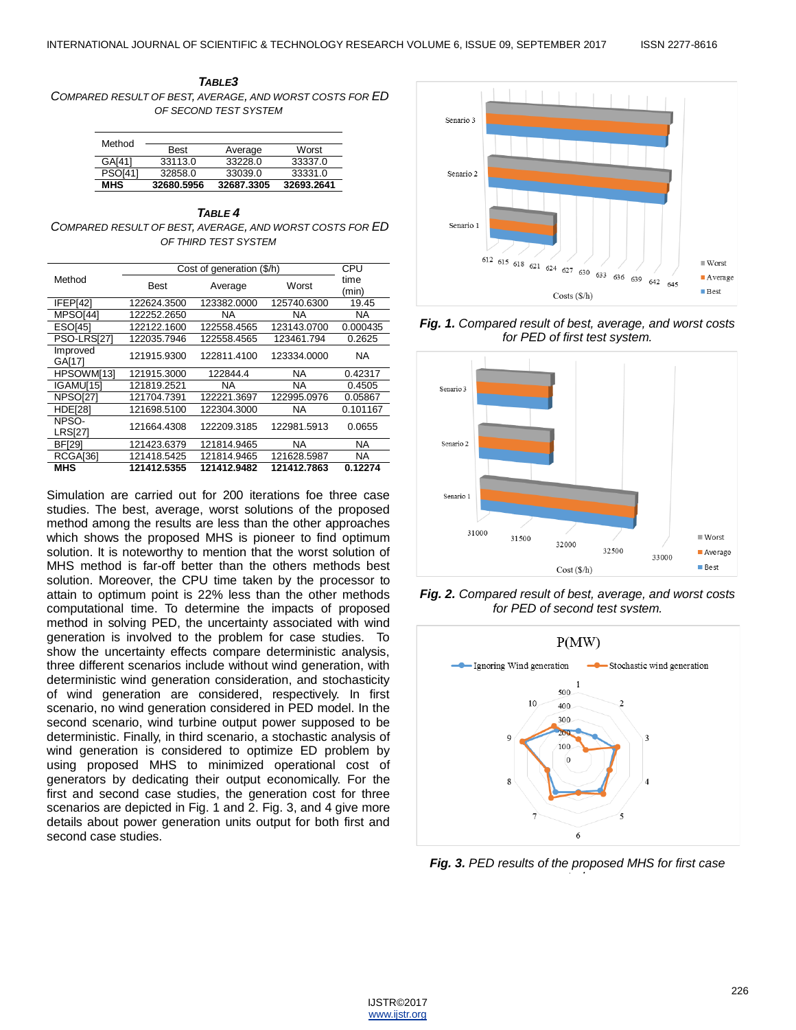

| Method         |             |            |            |
|----------------|-------------|------------|------------|
|                | <b>Best</b> | Average    | Worst      |
| GA[41]         | 33113.0     | 33228.0    | 33337.0    |
| <b>PSO[41]</b> | 32858.0     | 33039.0    | 33331.0    |
| <b>MHS</b>     | 32680.5956  | 32687.3305 | 32693.2641 |

*TABLE 4 COMPARED RESULT OF BEST, AVERAGE, AND WORST COSTS FOR ED OF THIRD TEST SYSTEM*

|                         | Cost of generation (\$/h) | CPU         |             |               |
|-------------------------|---------------------------|-------------|-------------|---------------|
| Method                  | <b>Best</b>               | Average     | Worst       | time<br>(min) |
| IFEP[42]                | 122624.3500               | 123382.0000 | 125740.6300 | 19.45         |
| MPSO <sub>[44]</sub>    | 122252.2650               | ΝA          | NA          | NA            |
| <b>ESO[45]</b>          | 122122.1600               | 122558.4565 | 123143.0700 | 0.000435      |
| PSO-LRS[27]             | 122035.7946               | 122558.4565 | 123461.794  | 0.2625        |
| Improved<br>GA[17]      | 121915.9300               | 122811.4100 | 123334.0000 | NA            |
| HPSOWM[13]              | 121915.3000               | 122844.4    | NA.         | 0.42317       |
| IGAMU[15]               | 121819.2521               | NA          | NA          | 0.4505        |
| NPSO <sub>[27]</sub>    | 121704.7391               | 122221.3697 | 122995.0976 | 0.05867       |
| HDE <sub>[28]</sub>     | 121698.5100               | 122304.3000 | NA          | 0.101167      |
| NPSO-<br><b>LRS[27]</b> | 121664.4308               | 122209.3185 | 122981.5913 | 0.0655        |
| <b>BF[29]</b>           | 121423.6379               | 121814.9465 | NA.         | NA            |
| RCGA[36]                | 121418.5425               | 121814.9465 | 121628.5987 | NA.           |
| MHS                     | 121412.5355               | 121412.9482 | 121412.7863 | 0.12274       |

Simulation are carried out for 200 iterations foe three case studies. The best, average, worst solutions of the proposed method among the results are less than the other approaches which shows the proposed MHS is pioneer to find optimum solution. It is noteworthy to mention that the worst solution of MHS method is far-off better than the others methods best solution. Moreover, the CPU time taken by the processor to attain to optimum point is 22% less than the other methods computational time. To determine the impacts of proposed method in solving PED, the uncertainty associated with wind generation is involved to the problem for case studies. To show the uncertainty effects compare deterministic analysis, three different scenarios include without wind generation, with deterministic wind generation consideration, and stochasticity of wind generation are considered, respectively. In first scenario, no wind generation considered in PED model. In the second scenario, wind turbine output power supposed to be deterministic. Finally, in third scenario, a stochastic analysis of wind generation is considered to optimize ED problem by using proposed MHS to minimized operational cost of generators by dedicating their output economically. For the first and second case studies, the generation cost for three scenarios are depicted in Fig. 1 and 2. Fig. 3, and 4 give more details about power generation units output for both first and second case studies.



*Fig. 1. Compared result of best, average, and worst costs for PED of first test system.*



*Fig. 2. Compared result of best, average, and worst costs for PED of second test system.*



*Fig. 3. PED results of the proposed MHS for first case study.*

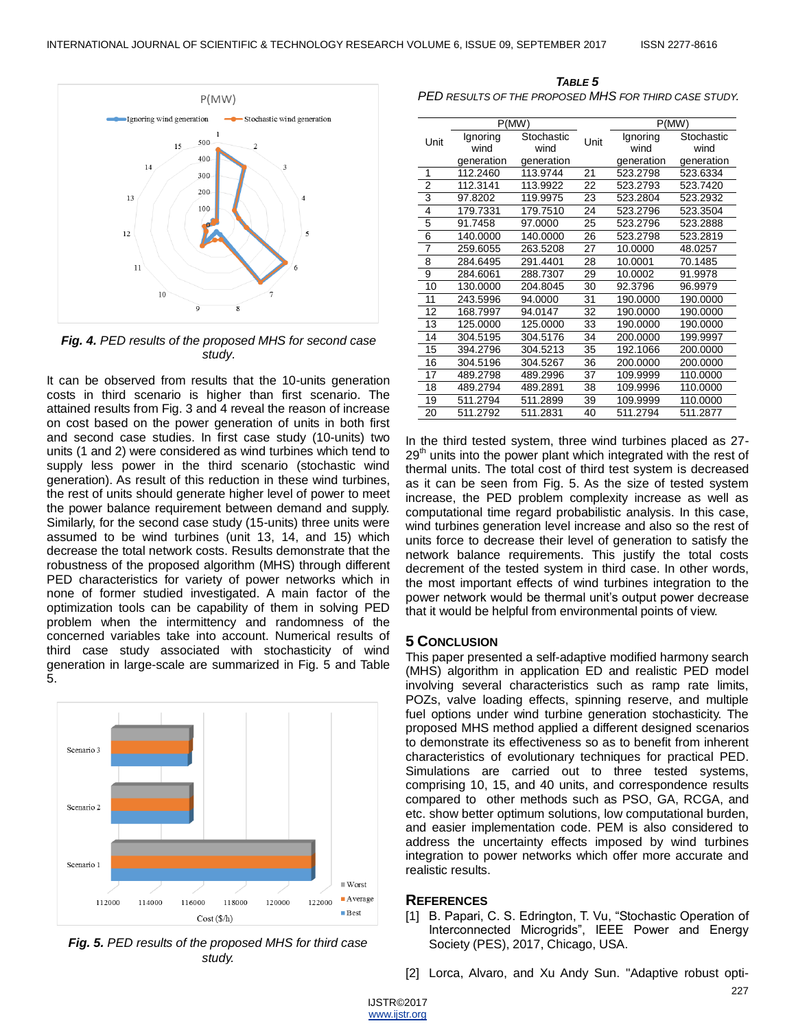

*Fig. 4. PED results of the proposed MHS for second case study.*

It can be observed from results that the 10-units generation costs in third scenario is higher than first scenario. The attained results from Fig. 3 and 4 reveal the reason of increase on cost based on the power generation of units in both first and second case studies. In first case study (10-units) two units (1 and 2) were considered as wind turbines which tend to supply less power in the third scenario (stochastic wind generation). As result of this reduction in these wind turbines, the rest of units should generate higher level of power to meet the power balance requirement between demand and supply. Similarly, for the second case study (15-units) three units were assumed to be wind turbines (unit 13, 14, and 15) which decrease the total network costs. Results demonstrate that the robustness of the proposed algorithm (MHS) through different PED characteristics for variety of power networks which in none of former studied investigated. A main factor of the optimization tools can be capability of them in solving PED problem when the intermittency and randomness of the concerned variables take into account. Numerical results of third case study associated with stochasticity of wind generation in large-scale are summarized in Fig. 5 and Table 5.



*Fig. 5. PED results of the proposed MHS for third case study.*

*TABLE 5 PED RESULTS OF THE PROPOSED MHS FOR THIRD CASE STUDY.*

|                | P(MW)            |                    |      | P(MW)            |                    |
|----------------|------------------|--------------------|------|------------------|--------------------|
| Unit           | Ignoring<br>wind | Stochastic<br>wind | Unit | Ignoring<br>wind | Stochastic<br>wind |
|                | generation       | generation         |      | generation       | generation         |
| 1              | 112.2460         | 113.9744           | 21   | 523.2798         | 523.6334           |
| $\overline{2}$ | 112.3141         | 113.9922           | 22   | 523.2793         | 523.7420           |
| 3              | 97.8202          | 119.9975           | 23   | 523.2804         | 523.2932           |
| 4              | 179.7331         | 179.7510           | 24   | 523.2796         | 523.3504           |
| 5              | 91.7458          | 97.0000            | 25   | 523.2796         | 523.2888           |
| 6              | 140.0000         | 140.0000           | 26   | 523.2798         | 523.2819           |
| 7              | 259.6055         | 263.5208           | 27   | 10.0000          | 48.0257            |
| 8              | 284.6495         | 291.4401           | 28   | 10.0001          | 70.1485            |
| 9              | 284.6061         | 288.7307           | 29   | 10.0002          | 91.9978            |
| 10             | 130.0000         | 204.8045           | 30   | 92.3796          | 96.9979            |
| 11             | 243.5996         | 94.0000            | 31   | 190.0000         | 190.0000           |
| 12             | 168.7997         | 94.0147            | 32   | 190.0000         | 190.0000           |
| 13             | 125.0000         | 125.0000           | 33   | 190.0000         | 190.0000           |
| 14             | 304.5195         | 304.5176           | 34   | 200.0000         | 199.9997           |
| 15             | 394.2796         | 304.5213           | 35   | 192.1066         | 200.0000           |
| 16             | 304.5196         | 304.5267           | 36   | 200.0000         | 200.0000           |
| 17             | 489.2798         | 489.2996           | 37   | 109.9999         | 110.0000           |
| 18             | 489.2794         | 489.2891           | 38   | 109.9996         | 110.0000           |
| 19             | 511.2794         | 511.2899           | 39   | 109.9999         | 110.0000           |
| 20             | 511.2792         | 511.2831           | 40   | 511.2794         | 511.2877           |

In the third tested system, three wind turbines placed as 27-  $29<sup>th</sup>$  units into the power plant which integrated with the rest of thermal units. The total cost of third test system is decreased as it can be seen from Fig. 5. As the size of tested system increase, the PED problem complexity increase as well as computational time regard probabilistic analysis. In this case, wind turbines generation level increase and also so the rest of units force to decrease their level of generation to satisfy the network balance requirements. This justify the total costs decrement of the tested system in third case. In other words, the most important effects of wind turbines integration to the power network would be thermal unit's output power decrease that it would be helpful from environmental points of view.

#### **5 CONCLUSION**

This paper presented a self-adaptive modified harmony search (MHS) algorithm in application ED and realistic PED model involving several characteristics such as ramp rate limits, POZs, valve loading effects, spinning reserve, and multiple fuel options under wind turbine generation stochasticity. The proposed MHS method applied a different designed scenarios to demonstrate its effectiveness so as to benefit from inherent characteristics of evolutionary techniques for practical PED. Simulations are carried out to three tested systems, comprising 10, 15, and 40 units, and correspondence results compared to other methods such as PSO, GA, RCGA, and etc. show better optimum solutions, low computational burden, and easier implementation code. PEM is also considered to address the uncertainty effects imposed by wind turbines integration to power networks which offer more accurate and realistic results.

#### **REFERENCES**

- [1] B. Papari, C. S. Edrington, T. Vu, "Stochastic Operation of Interconnected Microgrids", IEEE Power and Energy Society (PES), 2017, Chicago, USA.
- [2] Lorca, Alvaro, and Xu Andy Sun. "Adaptive robust opti-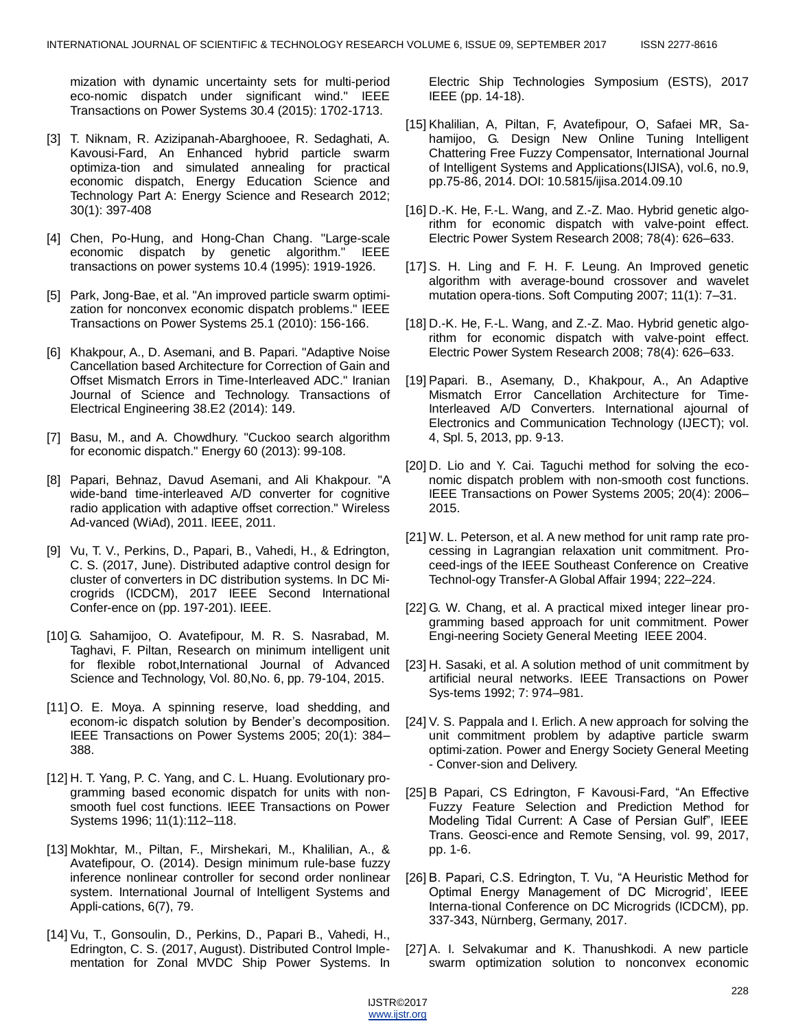mization with dynamic uncertainty sets for multi-period eco-nomic dispatch under significant wind." IEEE Transactions on Power Systems 30.4 (2015): 1702-1713.

- [3] T. Niknam, R. Azizipanah-Abarghooee, R. Sedaghati, A. Kavousi-Fard, An Enhanced hybrid particle swarm optimiza-tion and simulated annealing for practical economic dispatch, Energy Education Science and Technology Part A: Energy Science and Research 2012; 30(1): 397-408
- [4] Chen, Po-Hung, and Hong-Chan Chang. "Large-scale economic dispatch by genetic algorithm." IEEE transactions on power systems 10.4 (1995): 1919-1926.
- [5] Park, Jong-Bae, et al. "An improved particle swarm optimization for nonconvex economic dispatch problems." IEEE Transactions on Power Systems 25.1 (2010): 156-166.
- [6] Khakpour, A., D. Asemani, and B. Papari. "Adaptive Noise Cancellation based Architecture for Correction of Gain and Offset Mismatch Errors in Time-Interleaved ADC." Iranian Journal of Science and Technology. Transactions of Electrical Engineering 38.E2 (2014): 149.
- [7] Basu, M., and A. Chowdhury. "Cuckoo search algorithm for economic dispatch." Energy 60 (2013): 99-108.
- [8] Papari, Behnaz, Davud Asemani, and Ali Khakpour. "A wide-band time-interleaved A/D converter for cognitive radio application with adaptive offset correction." Wireless Ad-vanced (WiAd), 2011. IEEE, 2011.
- [9] Vu, T. V., Perkins, D., Papari, B., Vahedi, H., & Edrington, C. S. (2017, June). Distributed adaptive control design for cluster of converters in DC distribution systems. In DC Microgrids (ICDCM), 2017 IEEE Second International Confer-ence on (pp. 197-201). IEEE.
- [10] G. Sahamijoo, O. Avatefipour, M. R. S. Nasrabad, M. Taghavi, F. Piltan, Research on minimum intelligent unit for flexible robot,International Journal of Advanced Science and Technology, Vol. 80,No. 6, pp. 79-104, 2015.
- [11] O. E. Moya. A spinning reserve, load shedding, and econom-ic dispatch solution by Bender's decomposition. IEEE Transactions on Power Systems 2005; 20(1): 384– 388.
- [12] H. T. Yang, P. C. Yang, and C. L. Huang. Evolutionary programming based economic dispatch for units with nonsmooth fuel cost functions. IEEE Transactions on Power Systems 1996; 11(1):112–118.
- [13] Mokhtar, M., Piltan, F., Mirshekari, M., Khalilian, A., & Avatefipour, O. (2014). Design minimum rule-base fuzzy inference nonlinear controller for second order nonlinear system. International Journal of Intelligent Systems and Appli-cations, 6(7), 79.
- [14] Vu, T., Gonsoulin, D., Perkins, D., Papari B., Vahedi, H., Edrington, C. S. (2017, August). Distributed Control Implementation for Zonal MVDC Ship Power Systems. In

Electric Ship Technologies Symposium (ESTS), 2017 IEEE (pp. 14-18).

- [15] Khalilian, A, Piltan, F, Avatefipour, O, Safaei MR, Sahamijoo, G. Design New Online Tuning Intelligent Chattering Free Fuzzy Compensator, International Journal of Intelligent Systems and Applications(IJISA), vol.6, no.9, pp.75-86, 2014. DOI: 10.5815/ijisa.2014.09.10
- [16] D.-K. He, F.-L. Wang, and Z.-Z. Mao. Hybrid genetic algorithm for economic dispatch with valve-point effect. Electric Power System Research 2008; 78(4): 626–633.
- [17] S. H. Ling and F. H. F. Leung. An Improved genetic algorithm with average-bound crossover and wavelet mutation opera-tions. Soft Computing 2007; 11(1): 7–31.
- [18] D.-K. He, F.-L. Wang, and Z.-Z. Mao. Hybrid genetic algorithm for economic dispatch with valve-point effect. Electric Power System Research 2008; 78(4): 626–633.
- [19] Papari. B., Asemany, D., Khakpour, A., An Adaptive Mismatch Error Cancellation Architecture for Time-Interleaved A/D Converters. International ajournal of Electronics and Communication Technology (IJECT); vol. 4, Spl. 5, 2013, pp. 9-13.
- [20] D. Lio and Y. Cai. Taguchi method for solving the economic dispatch problem with non-smooth cost functions. IEEE Transactions on Power Systems 2005; 20(4): 2006– 2015.
- [21] W. L. Peterson, et al. A new method for unit ramp rate processing in Lagrangian relaxation unit commitment. Proceed-ings of the IEEE Southeast Conference on Creative Technol-ogy Transfer-A Global Affair 1994; 222–224.
- [22] G. W. Chang, et al. A practical mixed integer linear programming based approach for unit commitment. Power Engi-neering Society General Meeting IEEE 2004.
- [23] H. Sasaki, et al. A solution method of unit commitment by artificial neural networks. IEEE Transactions on Power Sys-tems 1992; 7: 974–981.
- [24] V. S. Pappala and I. Erlich. A new approach for solving the unit commitment problem by adaptive particle swarm optimi-zation. Power and Energy Society General Meeting - Conver-sion and Delivery.
- [25] B Papari, CS Edrington, F Kavousi-Fard, "An Effective Fuzzy Feature Selection and Prediction Method for Modeling Tidal Current: A Case of Persian Gulf", IEEE Trans. Geosci-ence and Remote Sensing, vol. 99, 2017, pp. 1-6.
- [26] B. Papari, C.S. Edrington, T. Vu, "A Heuristic Method for Optimal Energy Management of DC Microgrid', IEEE Interna-tional Conference on DC Microgrids (ICDCM), pp. 337-343, Nürnberg, Germany, 2017.
- [27] A. I. Selvakumar and K. Thanushkodi. A new particle swarm optimization solution to nonconvex economic